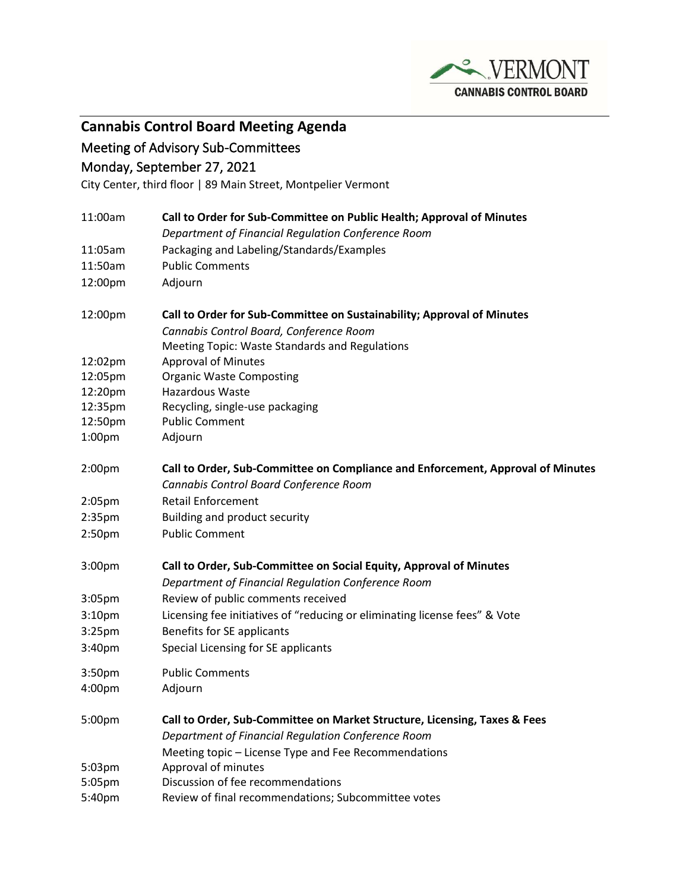

**Cannabis Control Board Meeting Agenda**

## Meeting of Advisory Sub-Committees

Monday, September 27, 2021

City Center, third floor | 89 Main Street, Montpelier Vermont

| 11:00am            | Call to Order for Sub-Committee on Public Health; Approval of Minutes           |
|--------------------|---------------------------------------------------------------------------------|
|                    | Department of Financial Regulation Conference Room                              |
| 11:05am            | Packaging and Labeling/Standards/Examples                                       |
| 11:50am            | <b>Public Comments</b>                                                          |
| 12:00pm            | Adjourn                                                                         |
| 12:00pm            | Call to Order for Sub-Committee on Sustainability; Approval of Minutes          |
|                    | Cannabis Control Board, Conference Room                                         |
|                    | <b>Meeting Topic: Waste Standards and Regulations</b>                           |
| 12:02pm            | <b>Approval of Minutes</b>                                                      |
| 12:05pm            | <b>Organic Waste Composting</b>                                                 |
| 12:20pm            | Hazardous Waste                                                                 |
| 12:35pm            | Recycling, single-use packaging                                                 |
| 12:50pm            | <b>Public Comment</b>                                                           |
| 1:00 <sub>pm</sub> | Adjourn                                                                         |
| 2:00pm             | Call to Order, Sub-Committee on Compliance and Enforcement, Approval of Minutes |
|                    | Cannabis Control Board Conference Room                                          |
| 2:05pm             | <b>Retail Enforcement</b>                                                       |
| 2:35pm             | Building and product security                                                   |
| 2:50pm             | <b>Public Comment</b>                                                           |
| 3:00 <sub>pm</sub> | Call to Order, Sub-Committee on Social Equity, Approval of Minutes              |
|                    | Department of Financial Regulation Conference Room                              |
| 3:05 <sub>pm</sub> | Review of public comments received                                              |
| 3:10 <sub>pm</sub> | Licensing fee initiatives of "reducing or eliminating license fees" & Vote      |
| 3:25 <sub>pm</sub> | Benefits for SE applicants                                                      |
| 3:40pm             | Special Licensing for SE applicants                                             |
|                    |                                                                                 |
| 3:50pm             | <b>Public Comments</b>                                                          |
| 4:00pm             | Adjourn                                                                         |
| 5:00pm             | Call to Order, Sub-Committee on Market Structure, Licensing, Taxes & Fees       |
|                    | Department of Financial Regulation Conference Room                              |
|                    | Meeting topic - License Type and Fee Recommendations                            |
| 5:03pm             | Approval of minutes                                                             |
| 5:05pm             | Discussion of fee recommendations                                               |
| 5:40pm             | Review of final recommendations; Subcommittee votes                             |
|                    |                                                                                 |